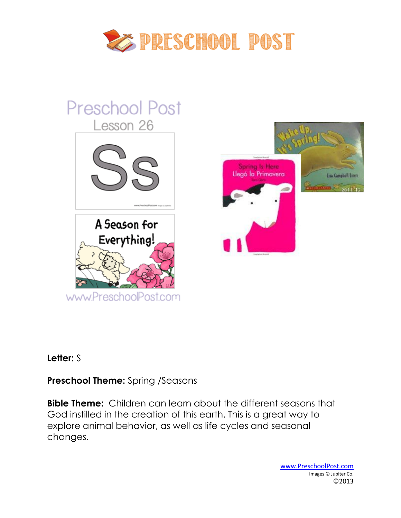

# **Preschool Post** Lesson 26 Spring Is Here Llegó la Primavera Lisa Campbell Ernst A Season for Everything! www.PreschoolPost.com

## **Letter:** S

# **Preschool Theme:** Spring /Seasons

**Bible Theme:** Children can learn about the different seasons that God instilled in the creation of this earth. This is a great way to explore animal behavior, as well as life cycles and seasonal changes.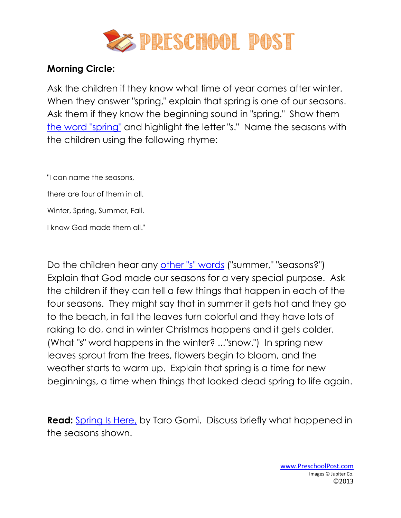

## **Morning Circle:**

Ask the children if they know what time of year comes after winter. When they answer "spring," explain that spring is one of our seasons. Ask them if they know the beginning sound in "spring." Show them [the word "spring"](http://www.preschoolpost.com/MarchSpringtime.html) and highlight the letter "s." Name the seasons with the children using the following rhyme:

"I can name the seasons,

there are four of them in all.

Winter, Spring, Summer, Fall.

I know God made them all."

Do the children hear any [other "s" words](http://www.preschoolpost.com/MarchSpringtime.html) ("summer," "seasons?") Explain that God made our seasons for a very special purpose. Ask the children if they can tell a few things that happen in each of the four seasons. They might say that in summer it gets hot and they go to the beach, in fall the leaves turn colorful and they have lots of raking to do, and in winter Christmas happens and it gets colder. (What "s" word happens in the winter? ..."snow.") In spring new leaves sprout from the trees, flowers begin to bloom, and the weather starts to warm up. Explain that spring is a time for new beginnings, a time when things that looked dead spring to life again.

**Read:** [Spring Is Here,](http://www.amazon.com/dp/0811823318?tag=biblesongs-20&camp=14573&creative=327641&linkCode=as1&creativeASIN=0811823318&adid=0FADMPABN4HMG6W50B4A&&ref-refURL=http%3A%2F%2Fwww.preschoolpost.com%2FMarchSpringtime.html) by Taro Gomi. Discuss briefly what happened in the seasons shown.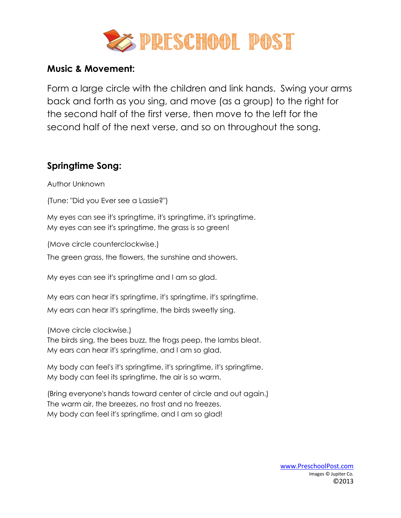

### **Music & Movement:**

Form a large circle with the children and link hands. Swing your arms back and forth as you sing, and move (as a group) to the right for the second half of the first verse, then move to the left for the second half of the next verse, and so on throughout the song.

## **Springtime Song:**

Author Unknown

(Tune: "Did you Ever see a Lassie?")

My eyes can see it's springtime, it's springtime, it's springtime. My eyes can see it's springtime, the grass is so green!

(Move circle counterclockwise.)

The green grass, the flowers, the sunshine and showers.

My eyes can see it's springtime and I am so glad.

My ears can hear it's springtime, it's springtime, it's springtime.

My ears can hear it's springtime, the birds sweetly sing.

(Move circle clockwise.)

The birds sing, the bees buzz, the frogs peep, the lambs bleat. My ears can hear it's springtime, and I am so glad.

My body can feel's it's springtime, it's springtime, it's springtime. My body can feel its springtime, the air is so warm.

(Bring everyone's hands toward center of circle and out again.) The warm air, the breezes, no frost and no freezes. My body can feel it's springtime, and I am so glad!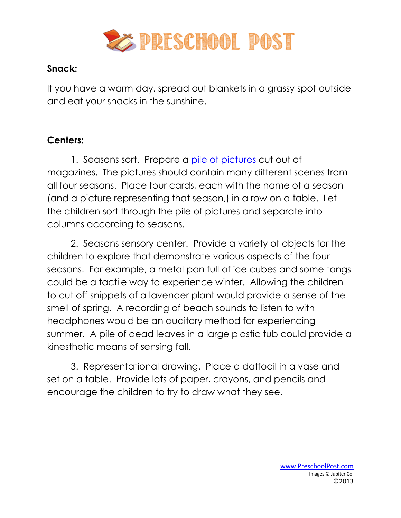

# **Snack:**

If you have a warm day, spread out blankets in a grassy spot outside and eat your snacks in the sunshine.

# **Centers:**

1. Seasons sort. Prepare a [pile of pictures](http://www.preschoolpost.com/MarchSpringtime.html) cut out of magazines. The pictures should contain many different scenes from all four seasons. Place four cards, each with the name of a season (and a picture representing that season,) in a row on a table. Let the children sort through the pile of pictures and separate into columns according to seasons.

2. Seasons sensory center. Provide a variety of objects for the children to explore that demonstrate various aspects of the four seasons. For example, a metal pan full of ice cubes and some tongs could be a tactile way to experience winter. Allowing the children to cut off snippets of a lavender plant would provide a sense of the smell of spring. A recording of beach sounds to listen to with headphones would be an auditory method for experiencing summer. A pile of dead leaves in a large plastic tub could provide a kinesthetic means of sensing fall.

3. Representational drawing. Place a daffodil in a vase and set on a table. Provide lots of paper, crayons, and pencils and encourage the children to try to draw what they see.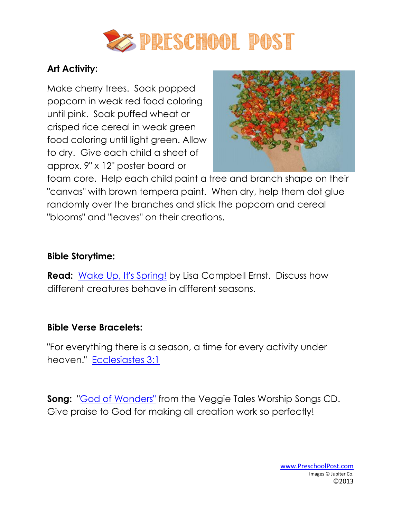

# **Art Activity:**

Make cherry trees. Soak popped popcorn in weak red food coloring until pink. Soak puffed wheat or crisped rice cereal in weak green food coloring until light green. Allow to dry. Give each child a sheet of approx. 9" x 12" poster board or



foam core. Help each child paint a tree and branch shape on their "canvas" with brown tempera paint. When dry, help them dot glue randomly over the branches and stick the popcorn and cereal "blooms" and "leaves" on their creations.

## **Bible Storytime:**

**Read:** [Wake Up, It's Spring!](http://www.amazon.com/dp/0060089857?tag=biblesongs-20&camp=14573&creative=327641&linkCode=as1&creativeASIN=0060089857&adid=1S158D59RK1964EBH7NM&&ref-refURL=http%3A%2F%2Fwww.preschoolpost.com%2FMarchSpringtime.html) by Lisa Campbell Ernst. Discuss how different creatures behave in different seasons.

## **Bible Verse Bracelets:**

"For everything there is a season, a time for every activity under heaven." [Ecclesiastes 3:1](http://www.preschoolpost.com/MarchSpringtime.html)

**Song:** ["God of Wonders"](http://www.christianbook.com/veggietales-music-worship-songs-compact-disc/pd/CD15424?event=AFF&p=1133939&) from the Veggie Tales Worship Songs CD. Give praise to God for making all creation work so perfectly!